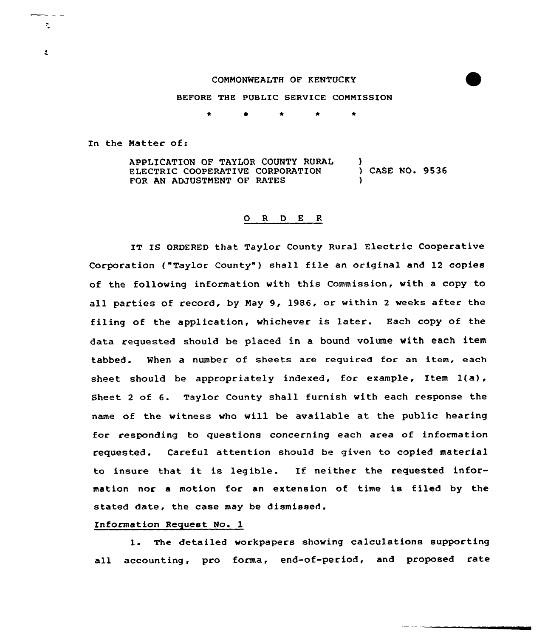### COMMONWEALTH OF KENTUCKY

BEFORE THE PUBLIC SERVICE COMMISSION

In the Matter of:

÷.

 $\bullet$ 

APPLICATION OF TAYLOR COUNTY RURAL ELECTRIC COOPERATIVE CORPORATION FOR AN ADJUSTMENT OF RATES ) ) CASE NO. 9536 )

### 0 <sup>R</sup> <sup>D</sup> E <sup>R</sup>

IT IS ORDERED that Taylor County Rural Electric Cooperative Corporation ("Taylor County") shall file an original and 12 copies of the folloving information with this Commission, vith a copy to all parties of record, by May 9, 1986, or within <sup>2</sup> weeks after the filing of the application, whichever is later. Each copy of the data requested should be placed in a bound volume with each item tabbed. When a number of sheets are required for an item, each sheet should be appropriately indexed, for example, Item  $1(a)$ , Sheet <sup>2</sup> of 6. Taylor County shall furnish with each response the name of the vitness who vill be available at the public hearing for responding to questions concerning each area of information requested. Careful attention should be given to copied material to insure that it is legible. If neither the requested information nor a motion for an extension of time is filed by the stated date, the case may be dismissed.

### Information Request No. 1

1. The detailed vorkpapers showing calculations supporting all accounting, pro forma, end-of-period, and proposed rate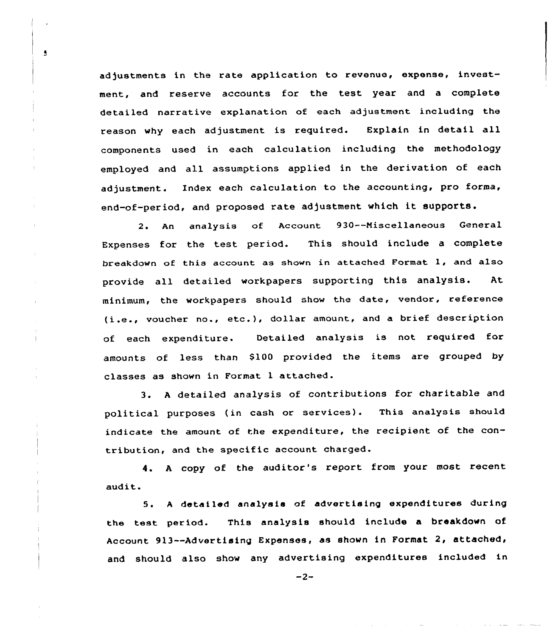adjustments in the rate application to revenue, expense, investment, and reserve accounts for the test year and a complete detailed narrative explanation of each adjustment including the reason why each adjustment is required. Explain in detail all components used in each calculation including the methodology employed and all assumptions applied in the derivation of each adjustment. Index each calculation to the accounting, pro forma, end-of-period, and proposed rate adjustment which it supports.

 $\overline{\mathbf{3}}$ 

 $\overline{1}$ 

2. An analysis of Account 930--Niscellaneous General Expenses for the test period. This should include a complete breakdown of this account as shown in attached Format 1, and also provide all detailed workpapers supporting this analysis. At minimum, the workpapers should show the date, vendor, reference (i.e., voucher no., etc.), dollar amount, and <sup>a</sup> brief description of each expenditure. Detailed analysis is not required for amounts of less than \$100 provided the items are grouped by classes as shown in Format <sup>1</sup> attached.

3. <sup>A</sup> detailed analysis of contributions for charitable and political purposes (in cash or services). This analysis should indicate the amount of the expenditure, the recipient of the contribution, and the specific account charged.

4. <sup>A</sup> copy of the auditor's report from your most recent audit.

5. <sup>A</sup> detailed analysis of advertising expenditures during the test period. This analysis should include a breakdown of Account 913 -- Advertising Expenses, as shown in Format 2, attached, and should also show any advertising expenditures included in

 $-2-$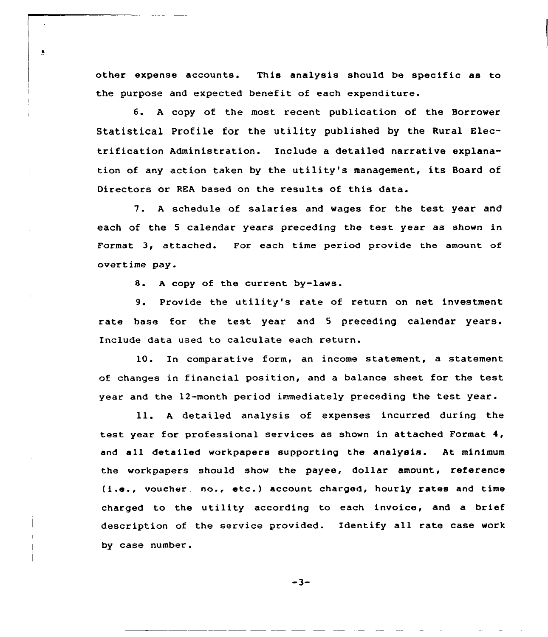other expense accounts. This analysis should be specific as to the purpose and expected benefit of each expenditure.

6. <sup>A</sup> copy of the most recent publication of the Borrower Statistical Profile for the utility published by the Rural Electrification Administration. Include a detailed narrative explanation of any action taken by the utility's management, its Board of Directors or REA based on the results of this data.

7. <sup>A</sup> schedule of salaries and wages for the test year and each of the <sup>5</sup> calendar years preceding the test year as shown in Format 3, attached. For each time period provide the amount of overtime pay.

8. <sup>A</sup> copy of the current by-laws.

 $\pmb{\epsilon}$ 

9. Provide the utility's rate of return on net investment rate base for the test year and <sup>5</sup> preceding calendar years. Include data used to calculate each return.

10. In comparative form, an income statement, a statement of changes in financial position, and a balance sheet for the test year and the 12-month period immediately preceding the test year.

ll. <sup>A</sup> detailed analysis of expenses incurred during the test year for professional services as shown in attached Format 4, and all detailed workpapers supporting the analysis. At minimum the workpapers should show the payee, dollar amount, reference ( i.e., voucher, no., etc. ) account charged, hourly rates and time charged to the utility according to each invoice, and a brief description of the service provided. Identify all rate case work by case number.

 $-3-$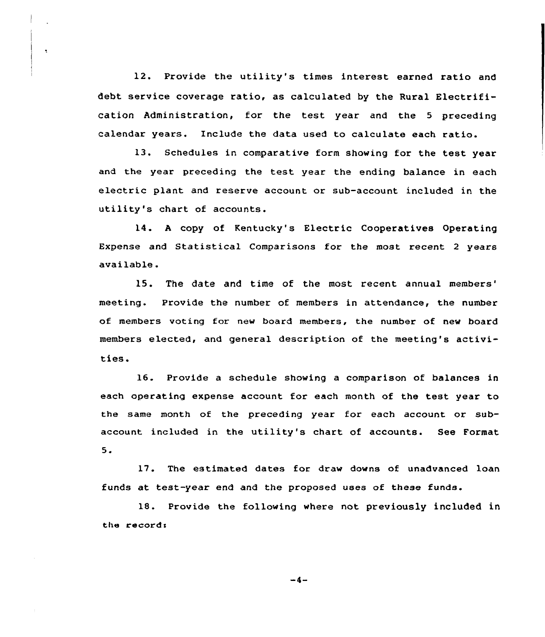12. Provide the utility's times interest earned ratio and debt service coverage ratio, as calculated by the Rural Electrification Administration, for the test year and the <sup>5</sup> preceding calendar years. Include the data used to calculate each ratio.

13. Schedules in comparative form showing for the test year and the year preceding the test year the ending balance in each electric plant and reserve account or sub-account included in the utility's chart of accounts.

14. <sup>A</sup> copy of Kentucky's Electric Cooperatives Operating Expense and Statistical Comparisons for the most recent <sup>2</sup> years available.

15. The date and time of the most recent annual meeting. Provide the number of members in attendance, the number of members voting for new board members, the number of new board members elected, and general description of the meeting's activities.

16. Provide <sup>a</sup> schedule showing a comparison of balances in each operating expense account for each month of the test year to the same month of the preceding year for each account or subaccount included in the utility's chart of accounts. See Format 5.

17. The estimated dates for draw downs of unadvanced loan funds at test-year end and the proposed uses of these funds.

18. Provide the following where not previously included in the records

 $-4-$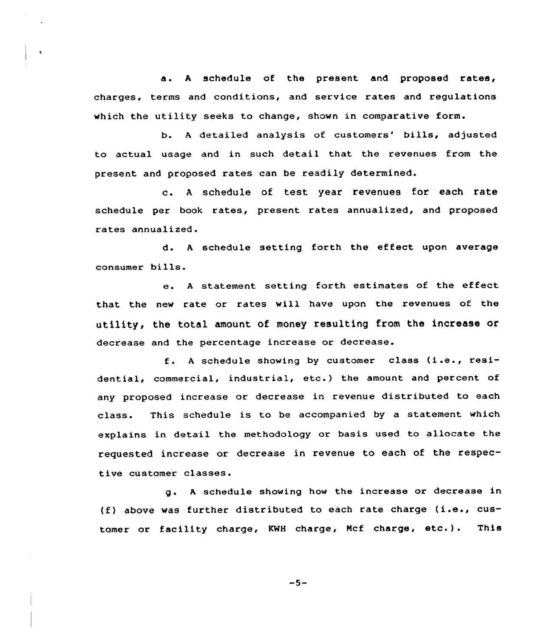a. <sup>A</sup> schedule of the present and proposed rates, charges, terms and conditions, and service rates and regulations which the utility seeks to change, shown in comparative form.

 $\hat{\mathbf{x}}$ 

b. A detailed analysis of customers' bills, adjusted to actual usage and in such detail that the revenues from the present and proposed rates can be readily determined.

c. <sup>A</sup> schedule of test year revenues for each rate schedule per book rates, present rates annualized, and proposed rates annualized.

d. <sup>A</sup> schedule setting forth the effect upon average consumer bills.

e. <sup>A</sup> statement setting forth estimates of the effect that the new rate or rates will have upon the revenues of the utility, the total amount of money resulting from the increase or decrease and the percentage increase or decrease.

f. <sup>A</sup> schedule showing by customer class (i.e., residential, commercial, industrial, etc.) the amount and percent of any proposed increase or decrease in revenue distributed to each class. This schedule is to be accompanied by a statement which explains in detail the methodology or basis used to allocate the requested increase or decrease in revenue to each of the respective customer classes.

g. <sup>A</sup> schedule showing how the increase or decrease in (f) above was further distributed to each rate charge (i.e., customer or facility charge, KNH charge, Mcf charge, etc.). This

 $-5-$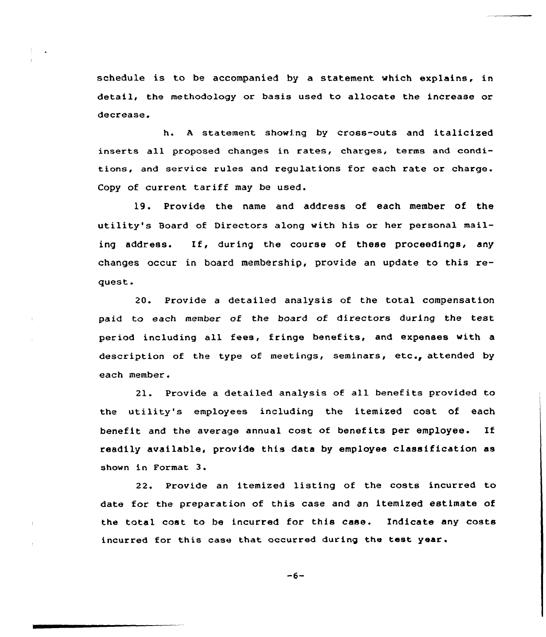schedule is to be accompanied by a statement which explains, in detail, the methodology or basis used to allocate the increase or decrease.

h. <sup>A</sup> statement showing by cross-outs and italicized inserts all proposed changes in rates, charges, terms and conditions, and service rules and regulations for each rate or charge. Copy of current tariff may be used.

19. Provide the name and address of each member of the utility's 8oard of Directors along with his or her personal mailing address. If, during the course of these proceedings, any changes occur in hoard membership, provide an update to this request.

20. Provide a detailed analysis of the total compensation paid to each member of the board of directors during the test period including all fees, fringe benefits, and expenses with a description of the type of meetings, seminars, etc., attended by each member.

21. Provide a detailed analysis of all benefits provided to the utility's employees including the itemized cost of each benefit and the average annual cost of benefits per employee. If readily available, provide this data by employee classification as shown in Format 3.

22. Provide an itemized listing of the costs incurred to date for the preparation of this case and an itemized estimate of the total cost to be incurred for this case. Indicate any costs incurred for this case that occurred during the test year.

 $-6-$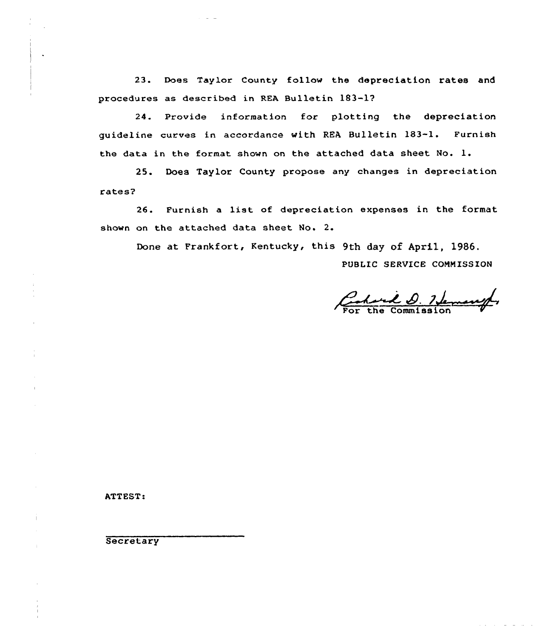23. Does Taylor County follow the depreciation rates and procedures as described in REA Bulletin 183-17

24. Provide information for plotting the depreciation guideline curves in accordance with REA Bulletin 183-1. Furnish the data in the format shown on the attached data sheet No. l.

25. Does Taylor County propose any changes in depreciation rates?

26. Furnish a list of depreciation expenses in the format shown on the attached data sheet No. 2.

Done at Frankfort, Kentucky, this 9th day of April, 1986.

PUBLIC SERVICE COMMISSION

Charl D. Hemanger

ATTEST:

**Secretary** 

 $\cdot$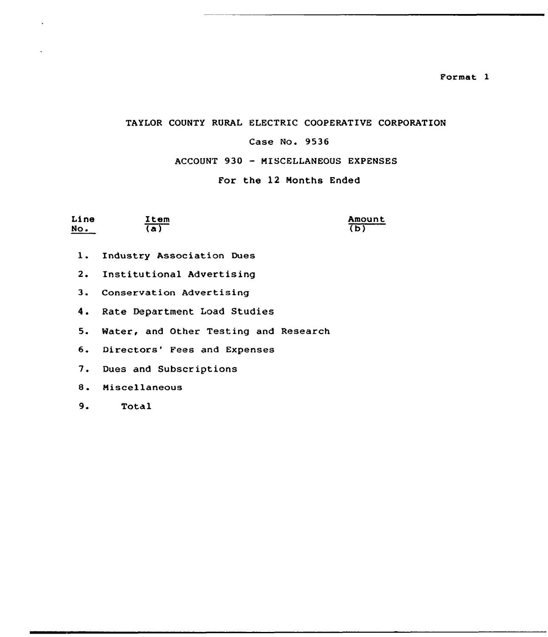Format I

### TAYLOR COUNTY RURAL ELECTRIC COOPERATIVE CORPORATION

### Case No. 9536

### ACCOUNT 930 — MISCELLANEOUS EXPENSES

### For the 12 Nonths Ended

| Line | Item | Amount      |
|------|------|-------------|
| No.  | 'a,  | $\mathbf b$ |

- l. Industry Association Dues
- 2. Institutional Advertising
- 3. Conservation Advertising
- 4. Rate Department Load Studies
- 5. Mater, and Other Testing and Research
- 6. Directors' Fees and Expenses
- 7. Dues and Subscriptions
- 8. Miscellaneous
- 9. Total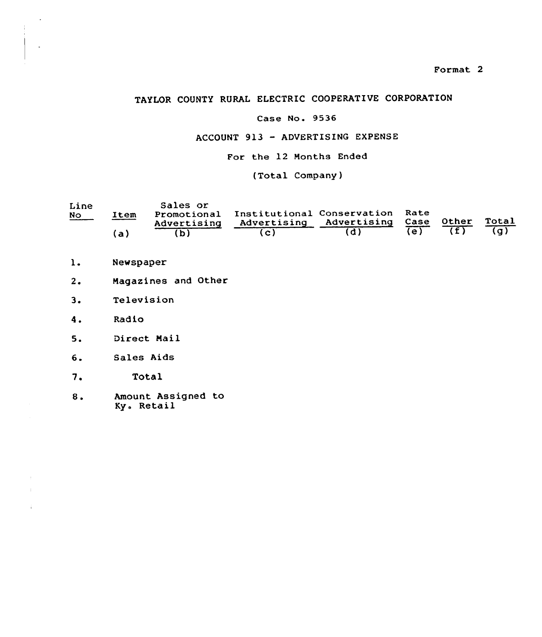### TAYLOR COUNTY RURAL ELECTRIC COOPERATIVE CORPORATION

### Case No. 9536

### ACCOUNT 913 — ADVERTISING EXPENSE

For the 12 Months Ended

(Total Company)

| Line<br><b>No</b> | Item<br>'al | Sales or<br>Promotional<br>Advertising | Institutional Conservation Rate<br>Advertising Advertising | Case | Other | Total<br>$\overline{(\mathfrak{a})}$ |
|-------------------|-------------|----------------------------------------|------------------------------------------------------------|------|-------|--------------------------------------|
|                   |             |                                        |                                                            |      |       |                                      |

- $\mathbf{1}$ . Newspaper
- $2.$ Magasines and Other
- $3.$ Television
- $4.$ Radio
- Direct Mail  $5.$
- $6.$ Sales Aids
- $7.$ Total
- 8. Amount Assigned to Ky. Retail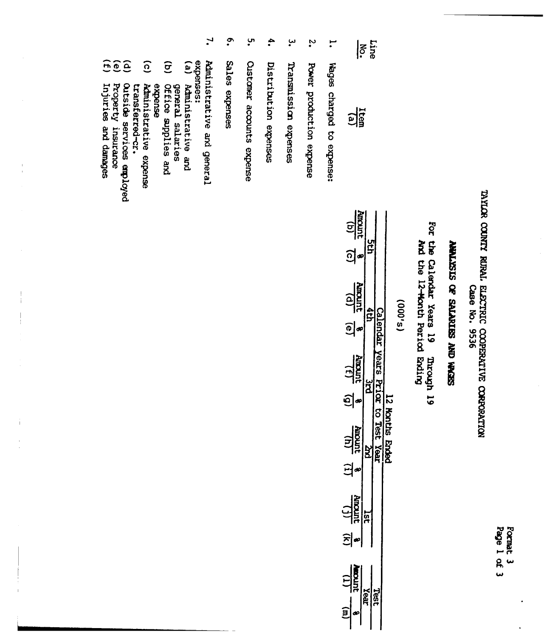Format 3<br>Page 1 of 3

# TAYLOR COUNTY RURAL ELECTRIC COOPERATIVE CORPORATION<br>Case No. 9536

### SEVEN ONY SSINYIFS JO SISYINNY

For the Calendar Years 19 Through **Droozn** 19

|   | 0 |
|---|---|
| c |   |
| Ó |   |
| ທ | ь |
| ◡ |   |

| <b>COLLE</b>        | Í |   |
|---------------------|---|---|
| $\overline{6}$<br>I |   |   |
| <b>urour</b><br>Ī   |   |   |
| $\bullet$           |   |   |
| $\frac{1}{2}$       |   |   |
| ij                  |   |   |
| <b>UTOUT</b><br>í   |   | ì |
|                     |   |   |
| <b>urcoury</b>      |   |   |
|                     |   |   |
| urcur               |   |   |
|                     |   |   |

سر<br>• Wages charged to expense:

 $\frac{\text{Line}}{\text{No}}$ 

 $\frac{1}{\sqrt{6}}$ 

- $\ddot{\cdot}$ Power production expense
- سٍ Transmission expenses
- $\ddot{\bullet}$ Distribution expenses
- ပ္ပ **Custaner** accounts expense
- $\ddot{\bullet}$ Sales expenses
- $\mathbf{r}$ expenses: Administrative and general
- $\overline{e}$ Administrative and
- $\widehat{g}$ general salaries<br>Office supplies and
- expense
- $\widehat{c}$ Administrative expense transferred-cr.
- $\hat{a}$ Outside services employed
- 
- $\widetilde{f}(\tilde{f})$ Property insurance<br>Injuries and damages

 $\frac{1}{1}$ 

 $\begin{array}{c} 1 \\ 1 \end{array}$ 

 $\hat{\mathbf{I}}$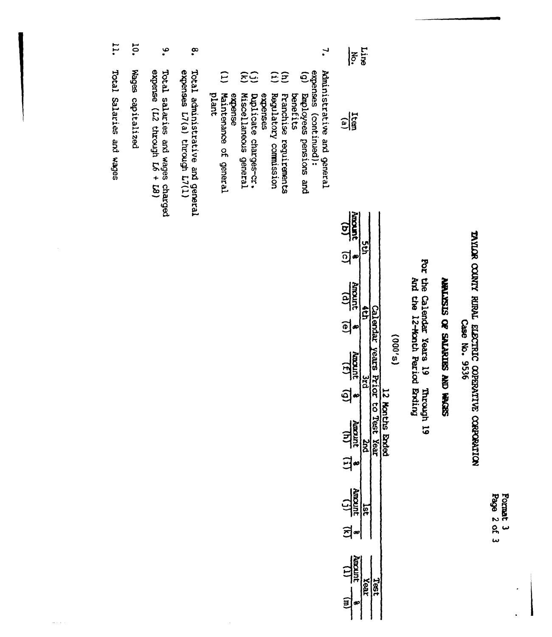Format 3<br>Page 2 of 3

TAYLOR COUNTY RUPLE ELECTRIC COPERATIVE CORPORATION Case No. 9536

### SEDIM ON SEINING AD SISTIMY

For the Calendar Years 19 Through 19<br>And the 12-Month Period Ending

| - 1 |
|-----|
| Ξ   |
| Ľ   |
| Ĩ.  |
| í   |
|     |
| ٠   |

| $\frac{1}{2}$                      |              |                              |
|------------------------------------|--------------|------------------------------|
| <u>ञ</u>                           |              |                              |
| Johanne<br>Juncare                 |              |                              |
| 힉                                  |              |                              |
| Antouni<br>Here<br>$\tilde{\cdot}$ |              |                              |
| ŋ                                  |              |                              |
| Nurroury<br>$\widehat{a}$          |              | <b>Solths</b><br><b>Ende</b> |
| 3                                  |              |                              |
| $\frac{\sqrt{1}}{\sqrt{2}}$        |              |                              |
| Ĕ<br>j                             |              |                              |
| <b>uncant</b>                      | Test<br>Vear |                              |
| â                                  |              |                              |

 $\mathbf{r}$ Administrative and general  $r_{\text{iso}}$ 

 $\frac{1}{\log n}$ 

- expenses (continued):<br>(g) Employees pensions and
- $\widehat{\Xi}$ Franchise requirements benefits
- $\overline{E}$ Regulatory commission
- Duplicate charges-cr. expenses
- ξĜ Miscellaneous general
- $\Xi$ plant Maintenance of general expense
- $\tilde{\mathbf{e}}$ Total administrative and general<br>expenses L7(a) through L7(1)
- $\bullet$ Total salaries and wages charged<br>expense  $(L2$  through  $L6 + L8$ )
- **10.** Wages capitalized
- 11. Total Salaries and wages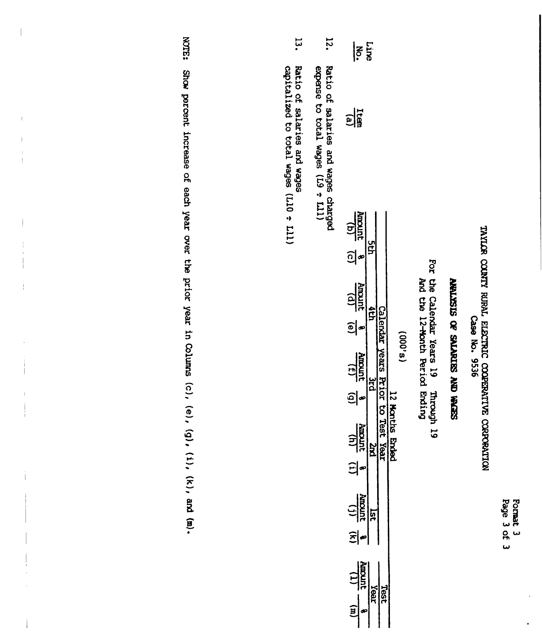Format 3<br>Page 3 of 3

 $\ddot{\phantom{0}}$ 

### TAYLOR COUNTY RURAL ELECTRIC COOPERATIVE CORPORATION Case No. 9536

### SEPER ON SOLVEYERS AO STSATENY

For the Calendar Years 19 Through 19<br>And the 12-Month Period Ending

| $\frac{1}{2}$                       | $rac{L}{2}$                        |         |                              |                           |         |
|-------------------------------------|------------------------------------|---------|------------------------------|---------------------------|---------|
| Ratio of salaries and wades charged | $\frac{1}{2}$                      |         |                              |                           |         |
|                                     | $\frac{4\pi\text{const}}{(b)}$ (c) |         |                              |                           |         |
|                                     |                                    | ă       |                              |                           |         |
|                                     | Amount $\frac{8}{10}$              |         |                              |                           |         |
|                                     |                                    |         |                              |                           |         |
|                                     | $\frac{\text{Amount}}{(f)}$        | بہ<br>1 | Calendar years Prior to Test |                           | (8,000) |
|                                     | <u>ခ</u> ါ့                        |         |                              |                           |         |
|                                     | <b>NAMEL</b><br>NAMEL              | Znd     | Yeel                         | 12 Honths<br><b>Endec</b> |         |
|                                     |                                    |         |                              |                           |         |
|                                     | $\frac{(1)}{1000000}$              | ត្ន     |                              |                           |         |
|                                     | 히~                                 |         |                              |                           |         |
|                                     | <b>uncan</b>                       | reax    | <b>Test</b>                  |                           |         |
|                                     |                                    |         |                              |                           |         |

- expense to total wages (L9 + L11)
- یا<br>م Ratio of salaries and wages<br>capitalized to total wages (L10 ÷ L11)

**ESILON** Show percent increase of each year over the prior year in Columns  $(c)$ ,  $(e)$ ,  $(g)$ ,  $(k)$ , and  $(m)$ .

 $\overline{\phantom{a}}$ 

Ť

Ţ

 $\overline{1}$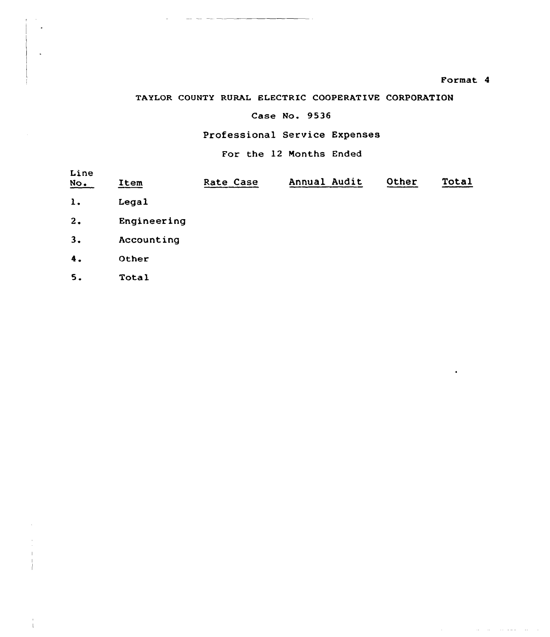### Format 4

التاريخ والتفع مراريب المرابط

### TAYLOR COUNTY RURAL ELECTRIC COOPERATIVE CORPORATION

### Case No. 9536

### Professional Service Expenses

For the 12 Months Ended

| Line<br>No. | Item        | Rate Case | Annual Audit | Other | Total |
|-------------|-------------|-----------|--------------|-------|-------|
| 1.          | Legal       |           |              |       |       |
| 2.          | Engineering |           |              |       |       |
| 3.          | Accounting  |           |              |       |       |
| 4.          | Other       |           |              |       |       |
| 5.          | Total       |           |              |       |       |
|             |             |           |              |       |       |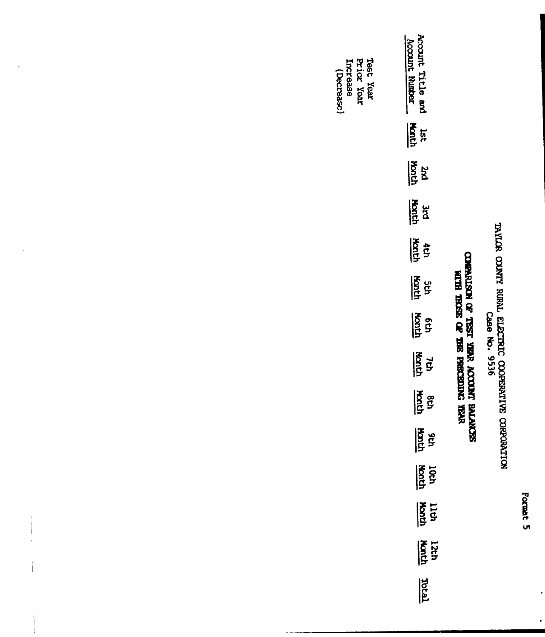Format 5

 $\overline{\phantom{a}}$ 

 $\ddot{\phantom{0}}$ 

# TAYLOR COUNTY RURAL ELECTRIC COOPERATIVE CORPORATION<br>Case No. 9536

## COMPARISON OF TEST YEAR ACCOUNT BALANCES<br>WITH THOSE OF THE PRECEDING YEAR

| ount Title and<br>rount Number |
|--------------------------------|
| <b>Hanth</b><br>Jac            |
| जें<br>प्रथम                   |
| $\frac{1}{2}$ $\frac{1}{2}$    |
| <b>Andr</b><br>Add             |
| <b>Address</b>                 |
| $\frac{5}{5}$                  |
| $\frac{1}{2}$                  |
| $\frac{1}{2}$                  |
| वि<br>वि                       |
| loch<br>Hoth                   |
| $\frac{114}{20}$               |
| 12th<br><b>Sold</b>            |
| $\overline{\mathbf{F}}$        |
|                                |

Test Year<br>Prior Year Increase<br>(Decrease)

Ť

 $\begin{array}{c} 1 \\ 1 \\ 1 \end{array}$ 

 $\begin{array}{c} \begin{array}{c} \text{i} \\ \text{ii} \\ \text{iii} \end{array} \end{array}$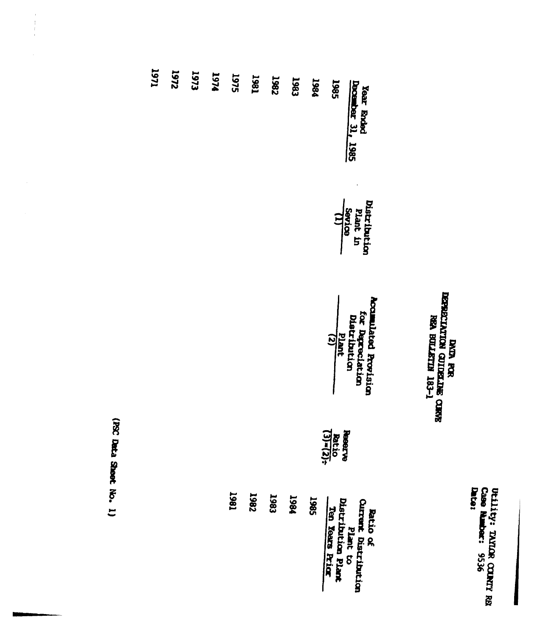Utility: TAYLOR COUNTY RES<br>Case Rumber: 9536<br>Date:

### DATA POSTALICA PORTA<br>SERICIALICA COLALISTAR<br>SERICIALICA DILATA 183-1

| 1971 | 225 | 1973 | 1974 | 1975 | 1981        | <b>1982</b> | 1983 | 1984 | 1985<br>Year Ended<br>Docarber 31, 1985                                                                     |  |
|------|-----|------|------|------|-------------|-------------|------|------|-------------------------------------------------------------------------------------------------------------|--|
|      |     |      |      |      |             |             |      |      | Distribution<br>Plant in<br>Sevice                                                                          |  |
|      |     |      |      |      |             |             |      |      | <b>Acculated Provision</b><br>for Dapreclation<br>Distribution<br>$\frac{p_{\text{left}}}{p_{\text{left}}}$ |  |
|      |     |      |      |      |             |             |      |      | $\frac{\text{Reac}}{\text{Rattio}}$                                                                         |  |
|      |     |      |      | 1867 | <b>7867</b> | 1983        | 1984 | 1985 | <b>Ratio of<br/>Qurent bistribution<br/>pistribution Plant<br/>Ten Years Frick<br/>Ten Years Frick</b>      |  |

(PSC Data Sheet No. 1)